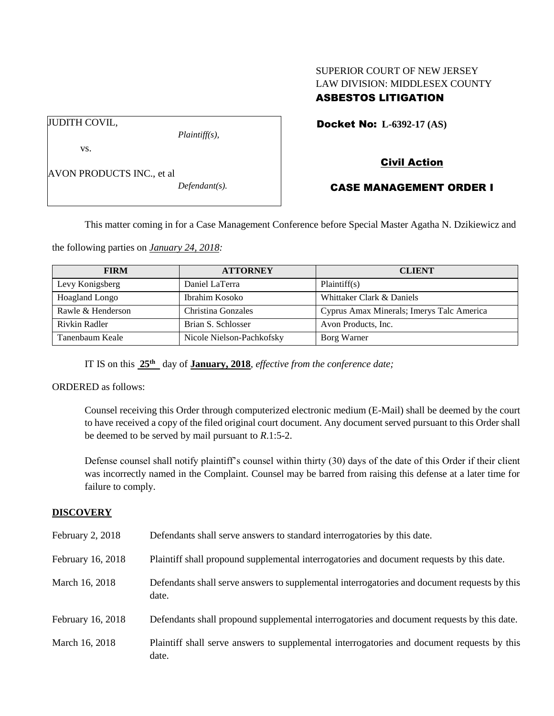# SUPERIOR COURT OF NEW JERSEY LAW DIVISION: MIDDLESEX COUNTY ASBESTOS LITIGATION

Docket No: **L-6392-17 (AS)** 

vs.

JUDITH COVIL,

AVON PRODUCTS INC., et al

*Defendant(s).*

*Plaintiff(s),*

Civil Action

# CASE MANAGEMENT ORDER I

This matter coming in for a Case Management Conference before Special Master Agatha N. Dzikiewicz and

the following parties on *January 24, 2018:*

| <b>FIRM</b>           | <b>ATTORNEY</b>           | <b>CLIENT</b>                             |
|-----------------------|---------------------------|-------------------------------------------|
| Levy Konigsberg       | Daniel LaTerra            | Plaintiff(s)                              |
| <b>Hoagland Longo</b> | Ibrahim Kosoko            | Whittaker Clark & Daniels                 |
| Rawle & Henderson     | Christina Gonzales        | Cyprus Amax Minerals; Imerys Talc America |
| Rivkin Radler         | Brian S. Schlosser        | Avon Products, Inc.                       |
| Tanenbaum Keale       | Nicole Nielson-Pachkofsky | Borg Warner                               |

IT IS on this **25th** day of **January, 2018**, *effective from the conference date;*

ORDERED as follows:

Counsel receiving this Order through computerized electronic medium (E-Mail) shall be deemed by the court to have received a copy of the filed original court document. Any document served pursuant to this Order shall be deemed to be served by mail pursuant to *R*.1:5-2.

Defense counsel shall notify plaintiff's counsel within thirty (30) days of the date of this Order if their client was incorrectly named in the Complaint. Counsel may be barred from raising this defense at a later time for failure to comply.

# **DISCOVERY**

| February 2, 2018  | Defendants shall serve answers to standard interrogatories by this date.                              |
|-------------------|-------------------------------------------------------------------------------------------------------|
| February 16, 2018 | Plaintiff shall propound supplemental interrogatories and document requests by this date.             |
| March 16, 2018    | Defendants shall serve answers to supplemental interrogatories and document requests by this<br>date. |
| February 16, 2018 | Defendants shall propound supplemental interrogatories and document requests by this date.            |
| March 16, 2018    | Plaintiff shall serve answers to supplemental interrogatories and document requests by this<br>date.  |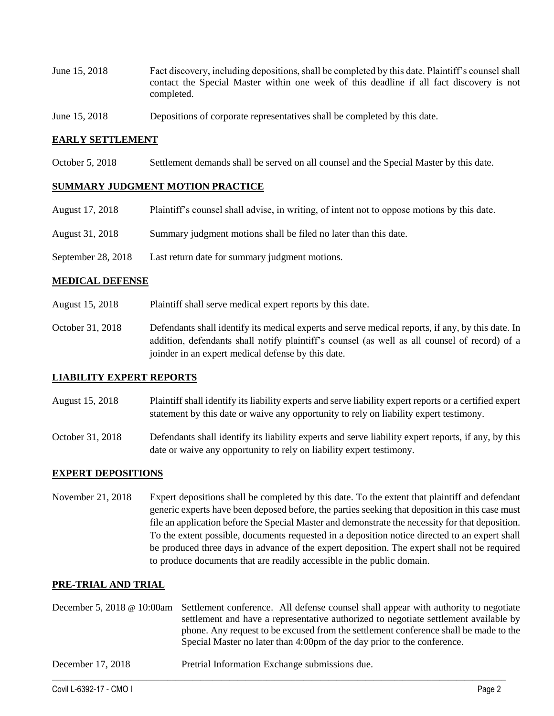- June 15, 2018 Fact discovery, including depositions, shall be completed by this date. Plaintiff's counsel shall contact the Special Master within one week of this deadline if all fact discovery is not completed.
- June 15, 2018 Depositions of corporate representatives shall be completed by this date.

### **EARLY SETTLEMENT**

October 5, 2018 Settlement demands shall be served on all counsel and the Special Master by this date.

## **SUMMARY JUDGMENT MOTION PRACTICE**

- August 17, 2018 Plaintiff's counsel shall advise, in writing, of intent not to oppose motions by this date.
- August 31, 2018 Summary judgment motions shall be filed no later than this date.
- September 28, 2018 Last return date for summary judgment motions.

### **MEDICAL DEFENSE**

- August 15, 2018 Plaintiff shall serve medical expert reports by this date.
- October 31, 2018 Defendants shall identify its medical experts and serve medical reports, if any, by this date. In addition, defendants shall notify plaintiff's counsel (as well as all counsel of record) of a joinder in an expert medical defense by this date.

### **LIABILITY EXPERT REPORTS**

- August 15, 2018 Plaintiff shall identify its liability experts and serve liability expert reports or a certified expert statement by this date or waive any opportunity to rely on liability expert testimony.
- October 31, 2018 Defendants shall identify its liability experts and serve liability expert reports, if any, by this date or waive any opportunity to rely on liability expert testimony.

### **EXPERT DEPOSITIONS**

November 21, 2018 Expert depositions shall be completed by this date. To the extent that plaintiff and defendant generic experts have been deposed before, the parties seeking that deposition in this case must file an application before the Special Master and demonstrate the necessity for that deposition. To the extent possible, documents requested in a deposition notice directed to an expert shall be produced three days in advance of the expert deposition. The expert shall not be required to produce documents that are readily accessible in the public domain.

## **PRE-TRIAL AND TRIAL**

|                   | December 5, 2018 @ 10:00am Settlement conference. All defense counsel shall appear with authority to negotiate<br>settlement and have a representative authorized to negotiate settlement available by<br>phone. Any request to be excused from the settlement conference shall be made to the<br>Special Master no later than 4:00pm of the day prior to the conference. |
|-------------------|---------------------------------------------------------------------------------------------------------------------------------------------------------------------------------------------------------------------------------------------------------------------------------------------------------------------------------------------------------------------------|
| December 17, 2018 | Pretrial Information Exchange submissions due.                                                                                                                                                                                                                                                                                                                            |